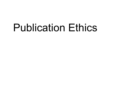# Publication Ethics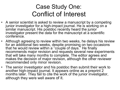### Case Study One: Conflict of Interest

- A senior scientist is asked to review a manuscript by a competing junior investigator for a high-impact journal. He is working on a similar manuscript. His postdoc recently heard the junior investigator present the data for the manuscript at a scientific conference.
- Although agreeing to review within two weeks, he delays his review for an additional two weeks, despite promising on two occasions that he would review within a "couple of days." He finally recommends major revision and requests several new experiments that will take many months to complete. The editor agrees and makes the decision of major revision, although the other reviewer recommended only minor revision.
- The senior investigator and his postdoc then submit their work to another high-impact journal. It appears online as a preprint 2 months later. They fail to cite the work of the junior investigator, although they were well aware of it.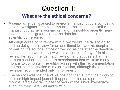# Question 1:

#### What are the ethical concerns?

- A senior scientist is asked to review a manuscript by a competing junior investigator for a high-impact journal. He has a similar manuscript that he is working on, and his postdoc recently heard the junior investigator present the data for the manuscript at a scientific conference.
- Although agreeing to review within two weeks, he fails to do so, and he delays his review for an additional two weeks, despite promising the editorial office on two occasions after the deadline passed that he would review within a "couple of days." In his review, he recommends major revision and suggests that the authors conduct several more experiments that will take many months to complete. The editor agrees with this recommendation and makes the decision of major revision, although the other reviewer recommended only minor revision.
- The senior investigator and his postdoc then submit their work to another high-impact journal. It appears online as a preprint 2 months later; they fail to cite the work of the junior investigator, although they were well aware of it.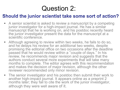# Question 2:

#### Should the junior scientist take some sort of action?

- A senior scientist is asked to review a manuscript by a competing junior investigator for a high-impact journal. He has a similar manuscript that he is working on, and his postdoc recently heard the junior investigator present the data for the manuscript at a scientific conference.
- Although agreeing to review within two weeks, he fails to do so, and he delays his review for an additional two weeks, despite promising the editorial office on two occasions after the deadline passed that he would review within a "couple of days." In his review, he recommends major revision and suggests that the authors conduct several more experiments that will take many months to complete. The editor agrees with this recommendation and makes the decision of major revision, although the other reviewer recommended only minor revision.
- The senior investigator and his postdoc then submit their work to another high-impact journal. It appears online as a preprint 2 months later; they fail to cite the work of the junior investigator, although they were well aware of it.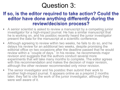### Question 3:

#### If so, is the editor required to take action? Could the editor have done anything differently during the review/decision process?

- A senior scientist is asked to review a manuscript by a competing junior investigator for a high-impact journal. He has a similar manuscript that he is working on, and his postdoc recently heard the junior investigator present the data for the manuscript at a scientific conference.
- Although agreeing to review within two weeks, he fails to do so, and he delays his review for an additional two weeks, despite promising the editorial office on two occasions after the deadline passed that he would review within a "couple of days." In his review, he recommends major revision and suggests that the authors conduct several more experiments that will take many months to complete. The editor agrees with this recommendation and makes the decision of major revision, although the other reviewer recommended only minor revision.
- The senior investigator and his postdoc then submit their work to another high-impact journal. It appears online as a preprint 2 months later; they fail to cite the work of the junior investigator, although they were well aware of it.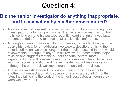### Question 4:

### Did the senior investigator do anything inappropriate, and is any action by him/her now required?

- A senior scientist is asked to review a manuscript by a competing junior investigator for a high-impact journal. He has a similar manuscript that he is working on, and his postdoc recently heard the junior investigator present the data for the manuscript at a scientific conference.
- Although agreeing to review within two weeks, he fails to do so, and he delays his review for an additional two weeks, despite promising the editorial office on two occasions after the deadline passed that he would review within a "couple of days." In his review, he recommends major revision and suggests that the authors conduct several more experiments that will take many months to complete. The editor agrees with this recommendation and makes the decision of major revision, although the other reviewer recommended only minor revision.
- The senior investigator and his postdoc then submit their work to another high-impact journal. It appears online as a preprint 2 months later; they fail to cite the work of the junior investigator, although they were well aware of it.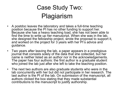# Case Study Two: Plagiarism

- A postdoc leaves the laboratory and takes a full-time teaching position because the PI has no other funding to support her. Because she has a heavy teaching load, she has not been able to find the time to write up her manuscript. When she was in the lab, she designed the fellowship project, wrote the proposal to support it, and worked on the project for 3 years with her PI's advice and guidance.
- Two years after leaving the lab, a paper appears in a prestigious journal that consists solely of the data that she collected, but her name is neither listed as an author nor in the acknowledgements. The paper has four authors: the first author is a graduate student who joined the lab just after she left to take the teaching position.
- The next two authors are also graduate students who were in the lab concurrently with her but did not participate in her research. The last author is the PI of the lab. On submission of the manuscript, all authors clicked the box stating that they made substantial contributions to the manuscript to justify authorship.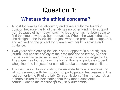### Question 1:

#### What are the ethical concerns?

- A postdoc leaves the laboratory and takes a full-time teaching position because the PI of the lab has no other funding to support her. Because of her heavy teaching load, she has not been able to find the time to write up her manuscript. When she was in the lab, she designed the fellowship project, wrote the proposal to support it, and worked on the project for 3 years with her PI's advice and guidance.
- Two years after leaving the lab, r paper appears in a prestigious journal that consists solely of the data that she collected, but her name is neither listed as an author nor in the acknowledgements. The paper has four authors: the first author is a graduate student who joined the lab just after she left to take the teaching position.
- The next two authors are also graduate students who were in the lab concurrently with her but did not participate in her research. The last author is the PI of the lab. On submission of the manuscript, all authors clicked the box stating that they made substantial contributions to the manuscript to justify authorship.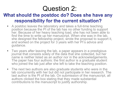# Question 2:

### What should the postdoc do? Does she have any responsibility for the current situation?

- A postdoc leaves the laboratory and takes a full-time teaching position because the PI of the lab has no other funding to support her. Because of her heavy teaching load, she has not been able to find the time to write up her manuscript. When she was in the lab, she designed the fellowship project, wrote the proposal to support it, and worked on the project for 3 years with her PI's advice and guidance.
- Two years after leaving the lab, a paper appears in a prestigious journal that consists solely of the data that she collected, but her name is neither listed as an author nor in the acknowledgements. The paper has four authors: the first author is a graduate student who joined the lab just after she left to take the teaching position.
- The next two authors are also graduate students who were in the lab concurrently with her but did not participate in her research. The last author is the PI of the lab. On submission of the manuscript, all authors clicked the box stating that they made substantial contributions to the manuscript to justify authorship.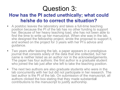# Question 3:

### How has the PI acted unethically; what could he/she do to correct the situation?

- A postdoc leaves the laboratory and takes a full-time teaching position because the PI of the lab has no other funding to support her. Because of her heavy teaching load, she has not been able to find the time to write up her manuscript. When she was in the lab, she designed the fellowship project, wrote the proposal to support it, and worked on the project for 3 years with her PI's advice and guidance.
- Two years after leaving the lab, a paper appears in a prestigious journal that consists solely of the data that she collected, but her name is neither listed as an author nor in the acknowledgements. The paper has four authors: the first author is a graduate student who joined the lab just after she left to take the teaching position.
- The next two authors are also graduate students who were in the lab concurrently with her but did not participate in her research. The last author is the PI of the lab. On submission of the manuscript, all authors clicked the box stating that they made substantial contributions to the manuscript to justify authorship.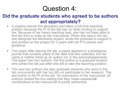# Question 4:

### Did the graduate students who agreed to be authors act appropriately?

- A postdoc leaves the laboratory and takes a full-time teaching position because the PI of the lab has no other funding to support her. Because of her heavy teaching load, she has not been able to find the time to write up her manuscript. When she was in the lab, she designed the fellowship project, wrote the proposal to support it, and worked on the project for 3 years with her PI's advice and guidance.
- Two years after leaving the lab, a paper appears in a prestigious journal that consists solely of the data that she collected, but her name is neither listed as an author nor in the acknowledgements. The paper has four authors: the first author is a graduate student who joined the lab just after she left to take the teaching position.
- The next two authors are also graduate students who were in the lab concurrently with her but did not participate in her research. The last author is the PI of the lab. On submission of the manuscript, all authors clicked the box stating that they made substantial contributions to the manuscript to justify authorship.